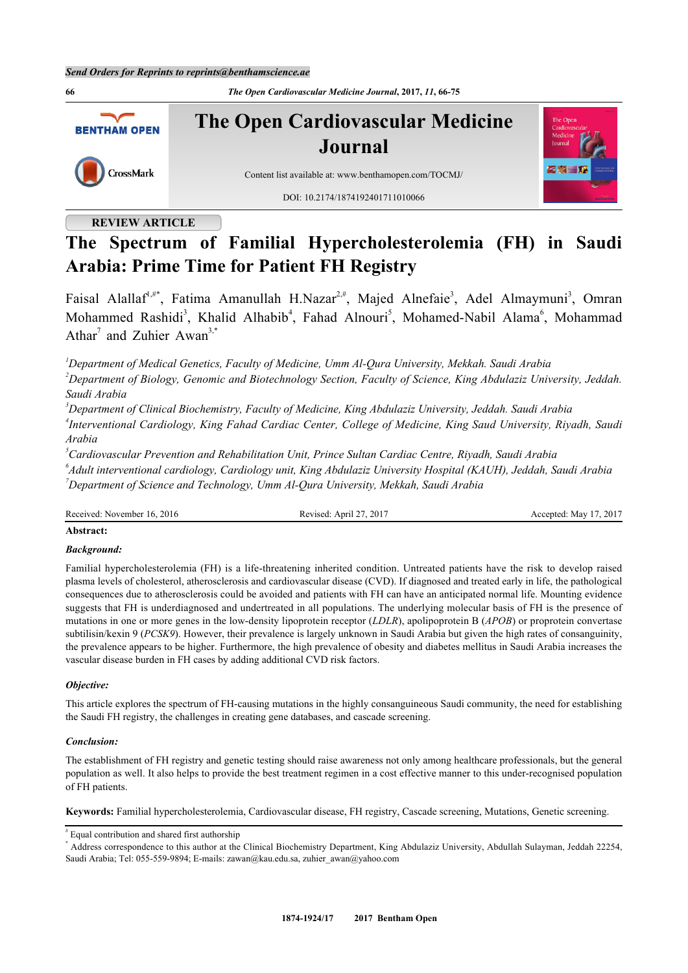**66** *The Open Cardiovascular Medicine Journal***, 2017,** *11***, 66-75 The Open Cardiovascular Medicine BENTHAM OPEN Journal** CrossMark Content list available at: [www.benthamopen.com/TOCMJ/](http://www.benthamopen.com/TOCMJ/) DOI: [10.2174/1874192401711010066](http://dx.doi.org/10.2174/1874192401711010066)

# **REVIEW ARTICLE**

# **The Spectrum of Familial Hypercholesterolemia (FH) in Saudi Arabia: Prime Time for Patient FH Registry**

Faisal Alallaf<sup>[1](#page-0-0),[#\\*](#page-0-1)</sup>, Fatima Amanullah H.Nazar<sup>[2,](#page-0-2)#</sup>, Majed Alnefaie<sup>[3](#page-0-3)</sup>, Adel Almaymuni<sup>3</sup>, Omran Mohammed Rashidi<sup>[3](#page-0-3)</sup>, Khalid Alhabib<sup>[4](#page-0-4)</sup>, Fahad Alnouri<sup>[5](#page-0-5)</sup>, Mohamed-Nabil Alama<sup>[6](#page-0-6)</sup>, Mohammad Athar<sup>[7](#page-0-7)</sup> and Zuhier Awan<sup>[3,](#page-0-3)[\\*](#page-0-1)</sup>

<span id="page-0-0"></span>*<sup>1</sup>Department of Medical Genetics, Faculty of Medicine, Umm Al-Qura University, Mekkah. Saudi Arabia*

<span id="page-0-2"></span>*<sup>2</sup>Department of Biology, Genomic and Biotechnology Section, Faculty of Science, King Abdulaziz University, Jeddah. Saudi Arabia*

<span id="page-0-4"></span><span id="page-0-3"></span>*<sup>3</sup>Department of Clinical Biochemistry, Faculty of Medicine, King Abdulaziz University, Jeddah. Saudi Arabia 4 Interventional Cardiology, King Fahad Cardiac Center, College of Medicine, King Saud University, Riyadh, Saudi Arabia*

<span id="page-0-5"></span>*<sup>5</sup>Cardiovascular Prevention and Rehabilitation Unit, Prince Sultan Cardiac Centre, Riyadh, Saudi Arabia*

<span id="page-0-7"></span><span id="page-0-6"></span>*6 Adult interventional cardiology, Cardiology unit, King Abdulaziz University Hospital (KAUH), Jeddah, Saudi Arabia <sup>7</sup>Department of Science and Technology, Umm Al-Qura University, Mekkah, Saudi Arabia*

Received: November 16, 2016 Revised: April 27, 2017 Accepted: May 17, 2017

# **Abstract:**

# *Background:*

Familial hypercholesterolemia (FH) is a life-threatening inherited condition. Untreated patients have the risk to develop raised plasma levels of cholesterol, atherosclerosis and cardiovascular disease (CVD). If diagnosed and treated early in life, the pathological consequences due to atherosclerosis could be avoided and patients with FH can have an anticipated normal life. Mounting evidence suggests that FH is underdiagnosed and undertreated in all populations. The underlying molecular basis of FH is the presence of mutations in one or more genes in the low-density lipoprotein receptor (*LDLR*), apolipoprotein B (*APOB*) or proprotein convertase subtilisin/kexin 9 (*PCSK9*). However, their prevalence is largely unknown in Saudi Arabia but given the high rates of consanguinity, the prevalence appears to be higher. Furthermore, the high prevalence of obesity and diabetes mellitus in Saudi Arabia increases the vascular disease burden in FH cases by adding additional CVD risk factors.

# *Objective:*

This article explores the spectrum of FH-causing mutations in the highly consanguineous Saudi community, the need for establishing the Saudi FH registry, the challenges in creating gene databases, and cascade screening.

# *Conclusion:*

The establishment of FH registry and genetic testing should raise awareness not only among healthcare professionals, but the general population as well. It also helps to provide the best treatment regimen in a cost effective manner to this under-recognised population of FH patients.

**Keywords:** Familial hypercholesterolemia, Cardiovascular disease, FH registry, Cascade screening, Mutations, Genetic screening.

<sup>#</sup> Equal contribution and shared first authorship

<span id="page-0-1"></span><sup>\*</sup> Address correspondence to this author at the Clinical Biochemistry Department, King Abdulaziz University, Abdullah Sulayman, Jeddah 22254, Saudi Arabia; Tel: 055-559-9894; E-mails: [zawan@kau.edu.sa](mailto:zawan@kau.edu.sa), [zuhier\\_awan@yahoo.com](mailto:zuhier_awan@yahoo.com)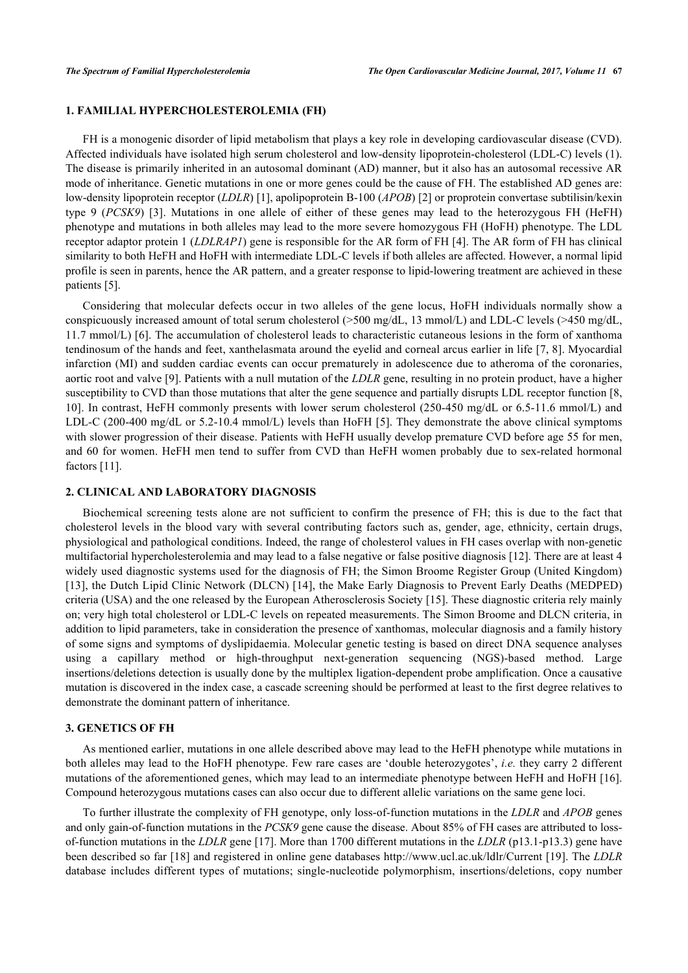# **1. FAMILIAL HYPERCHOLESTEROLEMIA (FH)**

FH is a monogenic disorder of lipid metabolism that plays a key role in developing cardiovascular disease (CVD). Affected individuals have isolated high serum cholesterol and low-density lipoprotein-cholesterol (LDL-C) levels (1). The disease is primarily inherited in an autosomal dominant (AD) manner, but it also has an autosomal recessive AR mode of inheritance. Genetic mutations in one or more genes could be the cause of FH. The established AD genes are: low-density lipoprotein receptor (*LDLR*) [\[1](#page-6-0)], apolipoprotein B-100 (*APOB*) [\[2](#page-6-1)] or proprotein convertase subtilisin/kexin type 9 (*PCSK9*)[[3\]](#page-6-2). Mutations in one allele of either of these genes may lead to the heterozygous FH (HeFH) phenotype and mutations in both alleles may lead to the more severe homozygous FH (HoFH) phenotype. The LDL receptor adaptor protein 1 (*LDLRAP1*) gene is responsible for the AR form of FH [[4\]](#page-6-3). The AR form of FH has clinical similarity to both HeFH and HoFH with intermediate LDL-C levels if both alleles are affected. However, a normal lipid profile is seen in parents, hence the AR pattern, and a greater response to lipid-lowering treatment are achieved in these patients [[5\]](#page-6-4).

Considering that molecular defects occur in two alleles of the gene locus, HoFH individuals normally show a conspicuously increased amount of total serum cholesterol (>500 mg/dL, 13 mmol/L) and LDL-C levels (>450 mg/dL, 11.7 mmol/L) [\[6](#page-6-5)]. The accumulation of cholesterol leads to characteristic cutaneous lesions in the form of xanthoma tendinosum of the hands and feet, xanthelasmata around the eyelid and corneal arcus earlier in life [\[7,](#page-6-6) [8\]](#page-6-7). Myocardial infarction (MI) and sudden cardiac events can occur prematurely in adolescence due to atheroma of the coronaries, aortic root and valve [\[9](#page-6-8)]. Patients with a null mutation of the *LDLR* gene, resulting in no protein product, have a higher susceptibility to CVD than those mutations that alter the gene sequence and partially disrupts LDL receptor function [[8](#page-6-7), [10\]](#page-6-9). In contrast, HeFH commonly presents with lower serum cholesterol (250-450 mg/dL or 6.5-11.6 mmol/L) and LDL-C (200-400 mg/dL or 5.2-10.4 mmol/L) levels than HoFH [[5\]](#page-6-4). They demonstrate the above clinical symptoms with slower progression of their disease. Patients with HeFH usually develop premature CVD before age 55 for men, and 60 for women. HeFH men tend to suffer from CVD than HeFH women probably due to sex-related hormonal factors [[11\]](#page-6-10).

#### **2. CLINICAL AND LABORATORY DIAGNOSIS**

Biochemical screening tests alone are not sufficient to confirm the presence of FH; this is due to the fact that cholesterol levels in the blood vary with several contributing factors such as, gender, age, ethnicity, certain drugs, physiological and pathological conditions. Indeed, the range of cholesterol values in FH cases overlap with non-genetic multifactorial hypercholesterolemia and may lead to a false negative or false positive diagnosis [[12\]](#page-6-11). There are at least 4 widely used diagnostic systems used for the diagnosis of FH; the Simon Broome Register Group (United Kingdom) [\[13](#page-6-12)], the Dutch Lipid Clinic Network (DLCN) [[14](#page-7-0)], the Make Early Diagnosis to Prevent Early Deaths (MEDPED) criteria (USA) and the one released by the European Atherosclerosis Society [[15](#page-7-1)]. These diagnostic criteria rely mainly on; very high total cholesterol or LDL-C levels on repeated measurements. The Simon Broome and DLCN criteria, in addition to lipid parameters, take in consideration the presence of xanthomas, molecular diagnosis and a family history of some signs and symptoms of dyslipidaemia. Molecular genetic testing is based on direct DNA sequence analyses using a capillary method or high-throughput next-generation sequencing (NGS)-based method. Large insertions/deletions detection is usually done by the multiplex ligation-dependent probe amplification. Once a causative mutation is discovered in the index case, a cascade screening should be performed at least to the first degree relatives to demonstrate the dominant pattern of inheritance.

# **3. GENETICS OF FH**

As mentioned earlier, mutations in one allele described above may lead to the HeFH phenotype while mutations in both alleles may lead to the HoFH phenotype. Few rare cases are 'double heterozygotes', *i.e.* they carry 2 different mutations of the aforementioned genes, which may lead to an intermediate phenotype between HeFH and HoFH [[16\]](#page-7-2). Compound heterozygous mutations cases can also occur due to different allelic variations on the same gene loci.

To further illustrate the complexity of FH genotype, only loss-of-function mutations in the *LDLR* and *APOB* genes and only gain-of-function mutations in the *PCSK9* gene cause the disease. About 85% of FH cases are attributed to lossof-function mutations in the *LDLR* gene [[17\]](#page-7-3). More than 1700 different mutations in the *LDLR* (p13.1-p13.3) gene have been described so far [[18](#page-7-4)] and registered in online gene databases<http://www.ucl.ac.uk/ldlr/Current>[[19](#page-7-5)]. The *LDLR* database includes different types of mutations; single-nucleotide polymorphism, insertions/deletions, copy number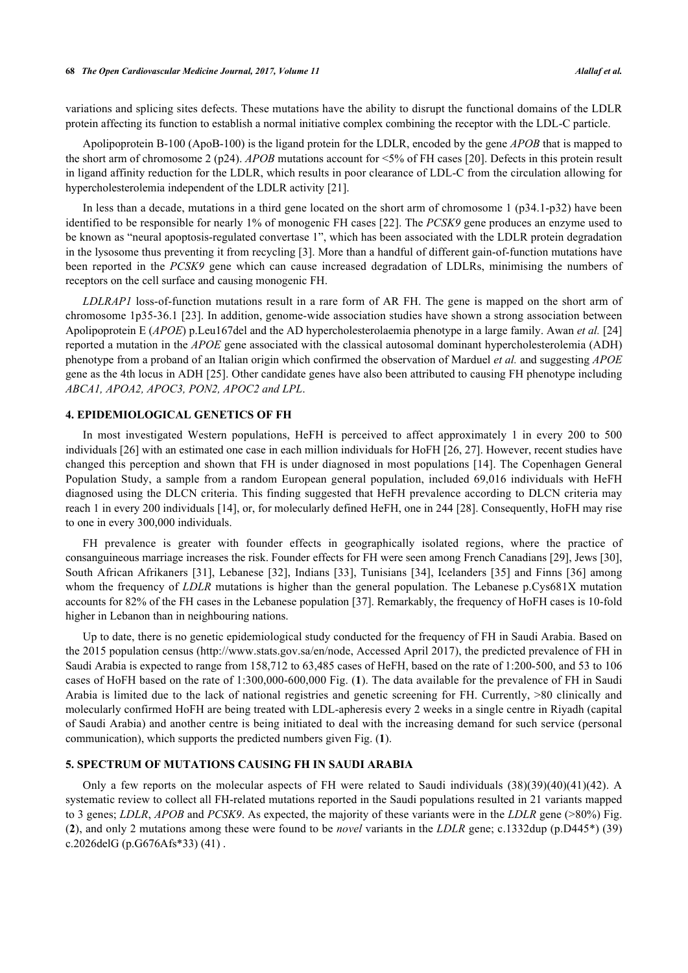#### **68** *The Open Cardiovascular Medicine Journal, 2017, Volume 11 Alallaf et al.*

variations and splicing sites defects. These mutations have the ability to disrupt the functional domains of the LDLR protein affecting its function to establish a normal initiative complex combining the receptor with the LDL-C particle.

Apolipoprotein B-100 (ApoB-100) is the ligand protein for the LDLR, encoded by the gene *APOB* that is mapped to the short arm of chromosome 2 (p24). *APOB* mutations account for <5% of FH cases [[20\]](#page-7-6). Defects in this protein result in ligand affinity reduction for the LDLR, which results in poor clearance of LDL-C from the circulation allowing for hypercholesterolemia independent of the LDLR activity [[21\]](#page-7-7).

In less than a decade, mutations in a third gene located on the short arm of chromosome 1 (p34.1-p32) have been identified to be responsible for nearly 1% of monogenic FH cases [[22\]](#page-7-8). The *PCSK9* gene produces an enzyme used to be known as "neural apoptosis-regulated convertase 1", which has been associated with the LDLR protein degradation in the lysosome thus preventing it from recycling [[3\]](#page-6-2). More than a handful of different gain-of-function mutations have been reported in the *PCSK9* gene which can cause increased degradation of LDLRs, minimising the numbers of receptors on the cell surface and causing monogenic FH.

*LDLRAP1* loss-of-function mutations result in a rare form of AR FH. The gene is mapped on the short arm of chromosome 1p35-36.1 [\[23\]](#page-7-9). In addition, genome-wide association studies have shown a strong association between Apolipoprotein E (*APOE*) p.Leu167del and the AD hypercholesterolaemia phenotype in a large family. Awan *et al.* [\[24](#page-7-10)] reported a mutation in the *APOE* gene associated with the classical autosomal dominant hypercholesterolemia (ADH) phenotype from a proband of an Italian origin which confirmed the observation of Marduel *et al.* and suggesting *APOE* gene as the 4th locus in ADH [[25](#page-7-11)]. Other candidate genes have also been attributed to causing FH phenotype including *ABCA1, APOA2, APOC3, PON2, APOC2 and LPL*.

#### **4. EPIDEMIOLOGICAL GENETICS OF FH**

In most investigated Western populations, HeFH is perceived to affect approximately 1 in every 200 to 500 individuals [\[26](#page-7-12)] with an estimated one case in each million individuals for HoFH [\[26](#page-7-12), [27](#page-7-13)]. However, recent studies have changed this perception and shown that FH is under diagnosed in most populations [[14](#page-7-0)]. The Copenhagen General Population Study, a sample from a random European general population, included 69,016 individuals with HeFH diagnosed using the DLCN criteria. This finding suggested that HeFH prevalence according to DLCN criteria may reach 1 in every 200 individuals [[14\]](#page-7-0), or, for molecularly defined HeFH, one in 244 [\[28](#page-7-14)]. Consequently, HoFH may rise to one in every 300,000 individuals.

FH prevalence is greater with founder effects in geographically isolated regions, where the practice of consanguineous marriage increases the risk. Founder effects for FH were seen among French Canadians [\[29](#page-7-15)], Jews [[30\]](#page-7-16), South African Afrikaners [[31](#page-7-17)], Lebanese [\[32\]](#page-7-18), Indians [\[33\]](#page-7-19), Tunisians [\[34](#page-8-0)], Icelanders [\[35](#page-8-1)] and Finns [[36\]](#page-8-2) among whom the frequency of *LDLR* mutations is higher than the general population. The Lebanese p.Cys681X mutation accounts for 82% of the FH cases in the Lebanese population [\[37](#page-8-3)]. Remarkably, the frequency of HoFH cases is 10-fold higher in Lebanon than in neighbouring nations.

Up to date, there is no genetic epidemiological study conducted for the frequency of FH in Saudi Arabia. Based on the 2015 population census (<http://www.stats.gov.sa/en/node>, Accessed April 2017), the predicted prevalence of FH in Saudi Arabia is expected to range from 158,712 to 63,485 cases of HeFH, based on the rate of 1:200-500, and 53 to 106 cases of HoFH based on the rate of 1:300,000-600,000 Fig. (**[1](#page-2-0)**). The data available for the prevalence of FH in Saudi Arabia is limited due to the lack of national registries and genetic screening for FH. Currently, >80 clinically and molecularly confirmed HoFH are being treated with LDL-apheresis every 2 weeks in a single centre in Riyadh (capital of Saudi Arabia) and another centre is being initiated to deal with the increasing demand for such service (personal communication), which supports the predicted numbers given Fig. (**[1](#page-2-0)**).

## **5. SPECTRUM OF MUTATIONS CAUSING FH IN SAUDI ARABIA**

<span id="page-2-0"></span>Only a few reports on the molecular aspects of FH were related to Saudi individuals (38)(39)(40)(41)(42). A systematic review to collect all FH-related mutations reported in the Saudi populations resulted in 21 variants mapped to 3 genes; *LDLR*, *APOB* and *PCSK9*. As expected, the majority of these variants were in the *LDLR* gene (>80%) Fig. (**[2](#page-3-0)**), and only 2 mutations among these were found to be *novel* variants in the *LDLR* gene; c.1332dup (p.D445\*) (39) c.2026delG (p.G676Afs\*33) (41) .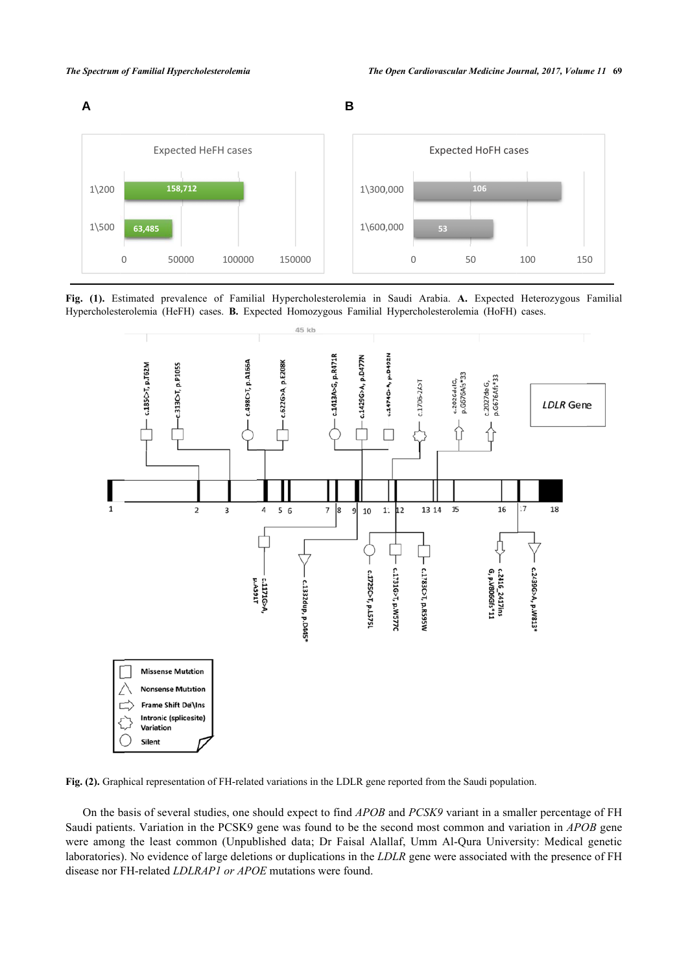

<span id="page-3-0"></span>**Fig. (1).** Estimated prevalence of Familial Hypercholesterolemia in Saudi Arabia. **A.** Expected Heterozygous Familial Hypercholesterolemia (HeFH) cases. **B.** Expected Homozygous Familial Hypercholesterolemia (HoFH) cases.



**Fig. (2).** Graphical representation of FH-related variations in the LDLR gene reported from the Saudi population.

On the basis of several studies, one should expect to find *APOB* and *PCSK9* variant in a smaller percentage of FH Saudi patients. Variation in the PCSK9 gene was found to be the second most common and variation in *APOB* gene were among the least common (Unpublished data; Dr Faisal Alallaf, Umm Al-Qura University: Medical genetic laboratories). No evidence of large deletions or duplications in the *LDLR* gene were associated with the presence of FH disease nor FH-related *LDLRAP1 or APOE* mutations were found.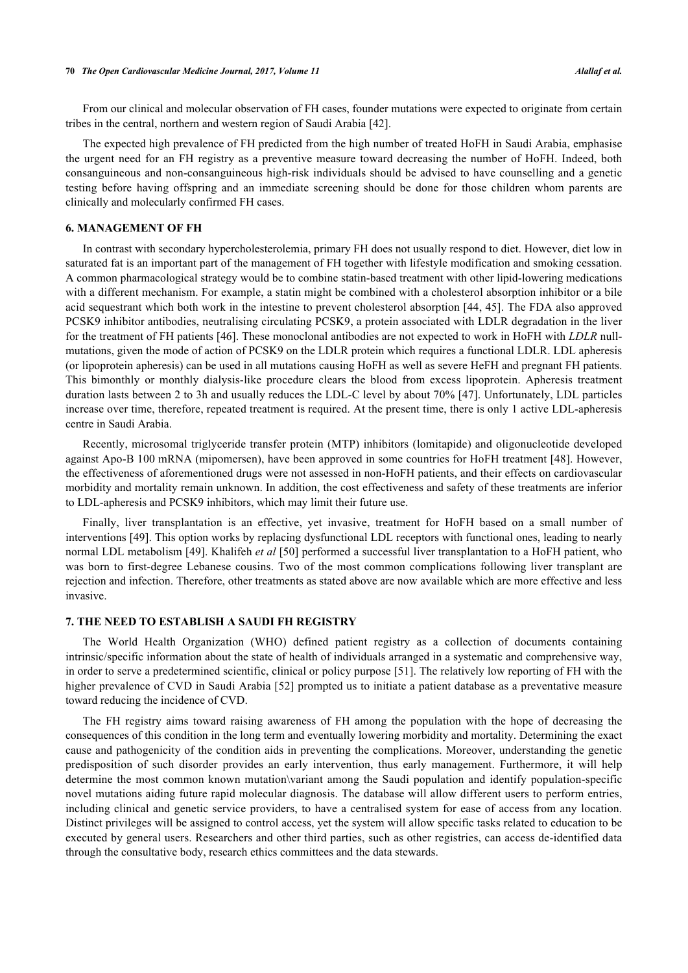From our clinical and molecular observation of FH cases, founder mutations were expected to originate from certain tribes in the central, northern and western region of Saudi Arabia [[42\]](#page-8-4).

The expected high prevalence of FH predicted from the high number of treated HoFH in Saudi Arabia, emphasise the urgent need for an FH registry as a preventive measure toward decreasing the number of HoFH. Indeed, both consanguineous and non-consanguineous high-risk individuals should be advised to have counselling and a genetic testing before having offspring and an immediate screening should be done for those children whom parents are clinically and molecularly confirmed FH cases.

# **6. MANAGEMENT OF FH**

In contrast with secondary hypercholesterolemia, primary FH does not usually respond to diet. However, diet low in saturated fat is an important part of the management of FH together with lifestyle modification and smoking cessation. A common pharmacological strategy would be to combine statin-based treatment with other lipid-lowering medications with a different mechanism. For example, a statin might be combined with a cholesterol absorption inhibitor or a bile acid sequestrant which both work in the intestine to prevent cholesterol absorption [\[44,](#page-8-5) [45](#page-8-6)]. The FDA also approved PCSK9 inhibitor antibodies, neutralising circulating PCSK9, a protein associated with LDLR degradation in the liver for the treatment of FH patients [[46\]](#page-8-7). These monoclonal antibodies are not expected to work in HoFH with *LDLR* nullmutations, given the mode of action of PCSK9 on the LDLR protein which requires a functional LDLR. LDL apheresis (or lipoprotein apheresis) can be used in all mutations causing HoFH as well as severe HeFH and pregnant FH patients. This bimonthly or monthly dialysis-like procedure clears the blood from excess lipoprotein. Apheresis treatment duration lasts between 2 to 3h and usually reduces the LDL-C level by about 70% [[47](#page-8-8)]. Unfortunately, LDL particles increase over time, therefore, repeated treatment is required. At the present time, there is only 1 active LDL-apheresis centre in Saudi Arabia.

Recently, microsomal triglyceride transfer protein (MTP) inhibitors (lomitapide) and oligonucleotide developed against Apo-B 100 mRNA (mipomersen), have been approved in some countries for HoFH treatment [[48\]](#page-8-9). However, the effectiveness of aforementioned drugs were not assessed in non-HoFH patients, and their effects on cardiovascular morbidity and mortality remain unknown. In addition, the cost effectiveness and safety of these treatments are inferior to LDL-apheresis and PCSK9 inhibitors, which may limit their future use.

Finally, liver transplantation is an effective, yet invasive, treatment for HoFH based on a small number of interventions [\[49](#page-8-10)]. This option works by replacing dysfunctional LDL receptors with functional ones, leading to nearly normal LDL metabolism [[49](#page-8-10)]. Khalifeh *et al* [[50](#page-8-11)] performed a successful liver transplantation to a HoFH patient, who was born to first-degree Lebanese cousins. Two of the most common complications following liver transplant are rejection and infection. Therefore, other treatments as stated above are now available which are more effective and less invasive.

# **7. THE NEED TO ESTABLISH A SAUDI FH REGISTRY**

The World Health Organization (WHO) defined patient registry as a collection of documents containing intrinsic/specific information about the state of health of individuals arranged in a systematic and comprehensive way, in order to serve a predetermined scientific, clinical or policy purpose [\[51\]](#page-8-12). The relatively low reporting of FH with the higher prevalence of CVD in Saudi Arabia [[52](#page-8-13)] prompted us to initiate a patient database as a preventative measure toward reducing the incidence of CVD.

The FH registry aims toward raising awareness of FH among the population with the hope of decreasing the consequences of this condition in the long term and eventually lowering morbidity and mortality. Determining the exact cause and pathogenicity of the condition aids in preventing the complications. Moreover, understanding the genetic predisposition of such disorder provides an early intervention, thus early management. Furthermore, it will help determine the most common known mutation\variant among the Saudi population and identify population-specific novel mutations aiding future rapid molecular diagnosis. The database will allow different users to perform entries, including clinical and genetic service providers, to have a centralised system for ease of access from any location. Distinct privileges will be assigned to control access, yet the system will allow specific tasks related to education to be executed by general users. Researchers and other third parties, such as other registries, can access de-identified data through the consultative body, research ethics committees and the data stewards.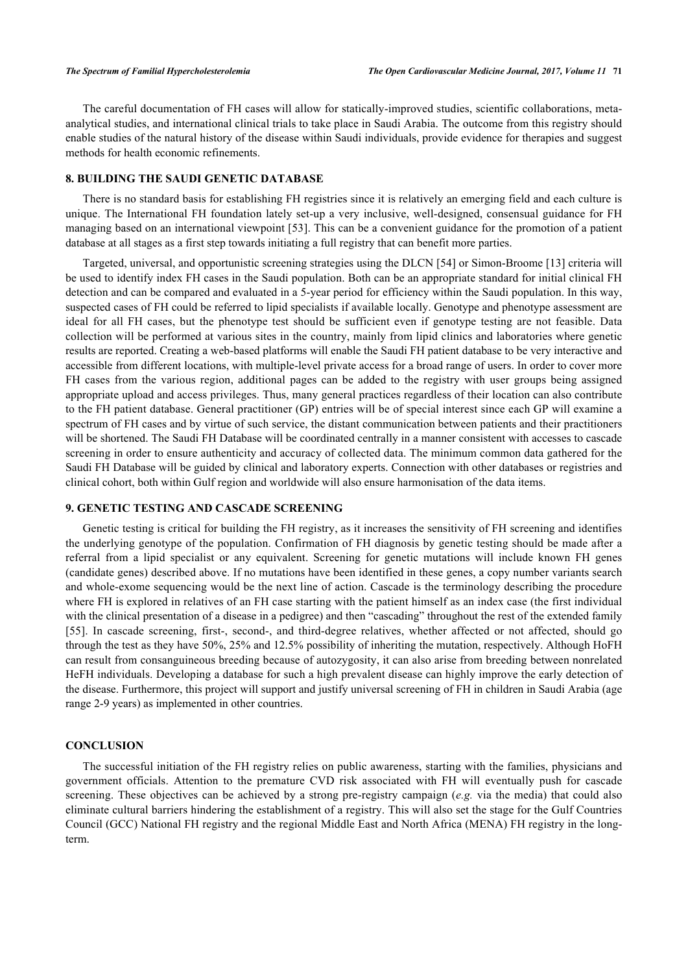The careful documentation of FH cases will allow for statically-improved studies, scientific collaborations, metaanalytical studies, and international clinical trials to take place in Saudi Arabia. The outcome from this registry should enable studies of the natural history of the disease within Saudi individuals, provide evidence for therapies and suggest methods for health economic refinements.

# **8. BUILDING THE SAUDI GENETIC DATABASE**

There is no standard basis for establishing FH registries since it is relatively an emerging field and each culture is unique. The International FH foundation lately set-up a very inclusive, well-designed, consensual guidance for FH managing based on an international viewpoint [[53\]](#page-8-14). This can be a convenient guidance for the promotion of a patient database at all stages as a first step towards initiating a full registry that can benefit more parties.

Targeted, universal, and opportunistic screening strategies using the DLCN [\[54](#page-9-0)] or Simon-Broome [[13\]](#page-6-12) criteria will be used to identify index FH cases in the Saudi population. Both can be an appropriate standard for initial clinical FH detection and can be compared and evaluated in a 5-year period for efficiency within the Saudi population. In this way, suspected cases of FH could be referred to lipid specialists if available locally. Genotype and phenotype assessment are ideal for all FH cases, but the phenotype test should be sufficient even if genotype testing are not feasible. Data collection will be performed at various sites in the country, mainly from lipid clinics and laboratories where genetic results are reported. Creating a web-based platforms will enable the Saudi FH patient database to be very interactive and accessible from different locations, with multiple-level private access for a broad range of users. In order to cover more FH cases from the various region, additional pages can be added to the registry with user groups being assigned appropriate upload and access privileges. Thus, many general practices regardless of their location can also contribute to the FH patient database. General practitioner (GP) entries will be of special interest since each GP will examine a spectrum of FH cases and by virtue of such service, the distant communication between patients and their practitioners will be shortened. The Saudi FH Database will be coordinated centrally in a manner consistent with accesses to cascade screening in order to ensure authenticity and accuracy of collected data. The minimum common data gathered for the Saudi FH Database will be guided by clinical and laboratory experts. Connection with other databases or registries and clinical cohort, both within Gulf region and worldwide will also ensure harmonisation of the data items.

## **9. GENETIC TESTING AND CASCADE SCREENING**

Genetic testing is critical for building the FH registry, as it increases the sensitivity of FH screening and identifies the underlying genotype of the population. Confirmation of FH diagnosis by genetic testing should be made after a referral from a lipid specialist or any equivalent. Screening for genetic mutations will include known FH genes (candidate genes) described above. If no mutations have been identified in these genes, a copy number variants search and whole-exome sequencing would be the next line of action. Cascade is the terminology describing the procedure where FH is explored in relatives of an FH case starting with the patient himself as an index case (the first individual with the clinical presentation of a disease in a pedigree) and then "cascading" throughout the rest of the extended family [\[55](#page-9-1)]. In cascade screening, first-, second-, and third-degree relatives, whether affected or not affected, should go through the test as they have 50%, 25% and 12.5% possibility of inheriting the mutation, respectively. Although HoFH can result from consanguineous breeding because of autozygosity, it can also arise from breeding between nonrelated HeFH individuals. Developing a database for such a high prevalent disease can highly improve the early detection of the disease. Furthermore, this project will support and justify universal screening of FH in children in Saudi Arabia (age range 2-9 years) as implemented in other countries.

#### **CONCLUSION**

The successful initiation of the FH registry relies on public awareness, starting with the families, physicians and government officials. Attention to the premature CVD risk associated with FH will eventually push for cascade screening. These objectives can be achieved by a strong pre-registry campaign (*e.g.* via the media) that could also eliminate cultural barriers hindering the establishment of a registry. This will also set the stage for the Gulf Countries Council (GCC) National FH registry and the regional Middle East and North Africa (MENA) FH registry in the longterm.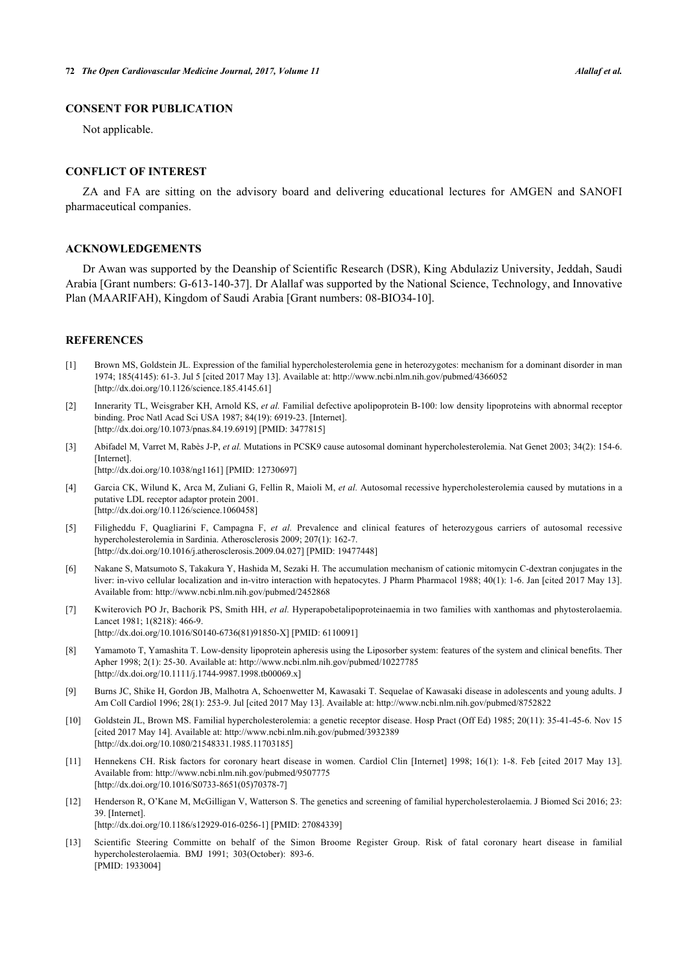# **CONSENT FOR PUBLICATION**

Not applicable.

# **CONFLICT OF INTEREST**

ZA and FA are sitting on the advisory board and delivering educational lectures for AMGEN and SANOFI pharmaceutical companies.

# **ACKNOWLEDGEMENTS**

Dr Awan was supported by the Deanship of Scientific Research (DSR), King Abdulaziz University, Jeddah, Saudi Arabia [Grant numbers: G-613-140-37]. Dr Alallaf was supported by the National Science, Technology, and Innovative Plan (MAARIFAH), Kingdom of Saudi Arabia [Grant numbers: 08-BIO34-10].

#### **REFERENCES**

- <span id="page-6-0"></span>[1] Brown MS, Goldstein JL. Expression of the familial hypercholesterolemia gene in heterozygotes: mechanism for a dominant disorder in man 1974; 185(4145): 61-3. Jul 5 [cited 2017 May 13]. Available at:<http://www.ncbi.nlm.nih.gov/pubmed/4366052> [\[http://dx.doi.org/10.1126/science.185.4145.61](http://dx.doi.org/10.1126/science.185.4145.61)]
- <span id="page-6-1"></span>[2] Innerarity TL, Weisgraber KH, Arnold KS, *et al.* Familial defective apolipoprotein B-100: low density lipoproteins with abnormal receptor binding. Proc Natl Acad Sci USA 1987; 84(19): 6919-23. [Internet]. [\[http://dx.doi.org/10.1073/pnas.84.19.6919](http://dx.doi.org/10.1073/pnas.84.19.6919)] [PMID: [3477815](http://www.ncbi.nlm.nih.gov/pubmed/3477815)]
- <span id="page-6-2"></span>[3] Abifadel M, Varret M, Rabès J-P, *et al.* Mutations in PCSK9 cause autosomal dominant hypercholesterolemia. Nat Genet 2003; 34(2): 154-6. [Internet].
	- [\[http://dx.doi.org/10.1038/ng1161\]](http://dx.doi.org/10.1038/ng1161) [PMID: [12730697](http://www.ncbi.nlm.nih.gov/pubmed/12730697)]
- <span id="page-6-3"></span>[4] Garcia CK, Wilund K, Arca M, Zuliani G, Fellin R, Maioli M, *et al.* Autosomal recessive hypercholesterolemia caused by mutations in a putative LDL receptor adaptor protein 2001. [\[http://dx.doi.org/10.1126/science.1060458](http://dx.doi.org/10.1126/science.1060458)]
- <span id="page-6-4"></span>[5] Filigheddu F, Quagliarini F, Campagna F, *et al.* Prevalence and clinical features of heterozygous carriers of autosomal recessive hypercholesterolemia in Sardinia. Atherosclerosis 2009; 207(1): 162-7. [\[http://dx.doi.org/10.1016/j.atherosclerosis.2009.04.027\]](http://dx.doi.org/10.1016/j.atherosclerosis.2009.04.027) [PMID: [19477448](http://www.ncbi.nlm.nih.gov/pubmed/19477448)]
- <span id="page-6-5"></span>[6] Nakane S, Matsumoto S, Takakura Y, Hashida M, Sezaki H. The accumulation mechanism of cationic mitomycin C-dextran conjugates in the liver: in-vivo cellular localization and in-vitro interaction with hepatocytes. J Pharm Pharmacol 1988; 40(1): 1-6. Jan [cited 2017 May 13]. Available from: <http://www.ncbi.nlm.nih.gov/pubmed/2452868>
- <span id="page-6-6"></span>[7] Kwiterovich PO Jr, Bachorik PS, Smith HH, *et al.* Hyperapobetalipoproteinaemia in two families with xanthomas and phytosterolaemia. Lancet 1981; 1(8218): 466-9. [\[http://dx.doi.org/10.1016/S0140-6736\(81\)91850-X\]](http://dx.doi.org/10.1016/S0140-6736(81)91850-X) [PMID: [6110091](http://www.ncbi.nlm.nih.gov/pubmed/6110091)]
- <span id="page-6-7"></span>[8] Yamamoto T, Yamashita T. Low-density lipoprotein apheresis using the Liposorber system: features of the system and clinical benefits. Ther Apher 1998; 2(1): 25-30. Available at:<http://www.ncbi.nlm.nih.gov/pubmed/10227785> [\[http://dx.doi.org/10.1111/j.1744-9987.1998.tb00069.x\]](http://dx.doi.org/10.1111/j.1744-9987.1998.tb00069.x)
- <span id="page-6-8"></span>[9] Burns JC, Shike H, Gordon JB, Malhotra A, Schoenwetter M, Kawasaki T. Sequelae of Kawasaki disease in adolescents and young adults. J Am Coll Cardiol 1996; 28(1): 253-9. Jul [cited 2017 May 13]. Available at: <http://www.ncbi.nlm.nih.gov/pubmed/8752822>
- <span id="page-6-9"></span>[10] Goldstein JL, Brown MS. Familial hypercholesterolemia: a genetic receptor disease. Hosp Pract (Off Ed) 1985; 20(11): 35-41-45-6. Nov 15 [cited 2017 May 14]. Available at:<http://www.ncbi.nlm.nih.gov/pubmed/3932389> [\[http://dx.doi.org/10.1080/21548331.1985.11703185\]](http://dx.doi.org/10.1080/21548331.1985.11703185)
- <span id="page-6-10"></span>[11] Hennekens CH. Risk factors for coronary heart disease in women. Cardiol Clin [Internet] 1998; 16(1): 1-8. Feb [cited 2017 May 13]. Available from: <http://www.ncbi.nlm.nih.gov/pubmed/9507775> [\[http://dx.doi.org/10.1016/S0733-8651\(05\)70378-7\]](http://dx.doi.org/10.1016/S0733-8651(05)70378-7)
- <span id="page-6-11"></span>[12] Henderson R, O'Kane M, McGilligan V, Watterson S. The genetics and screening of familial hypercholesterolaemia. J Biomed Sci 2016; 23: 39. [Internet]. [\[http://dx.doi.org/10.1186/s12929-016-0256-1\]](http://dx.doi.org/10.1186/s12929-016-0256-1) [PMID: [27084339](http://www.ncbi.nlm.nih.gov/pubmed/27084339)]
- <span id="page-6-12"></span>[13] Scientific Steering Committe on behalf of the Simon Broome Register Group. Risk of fatal coronary heart disease in familial hypercholesterolaemia. BMJ 1991; 303(October): 893-6. [PMID: [1933004\]](http://www.ncbi.nlm.nih.gov/pubmed/1933004)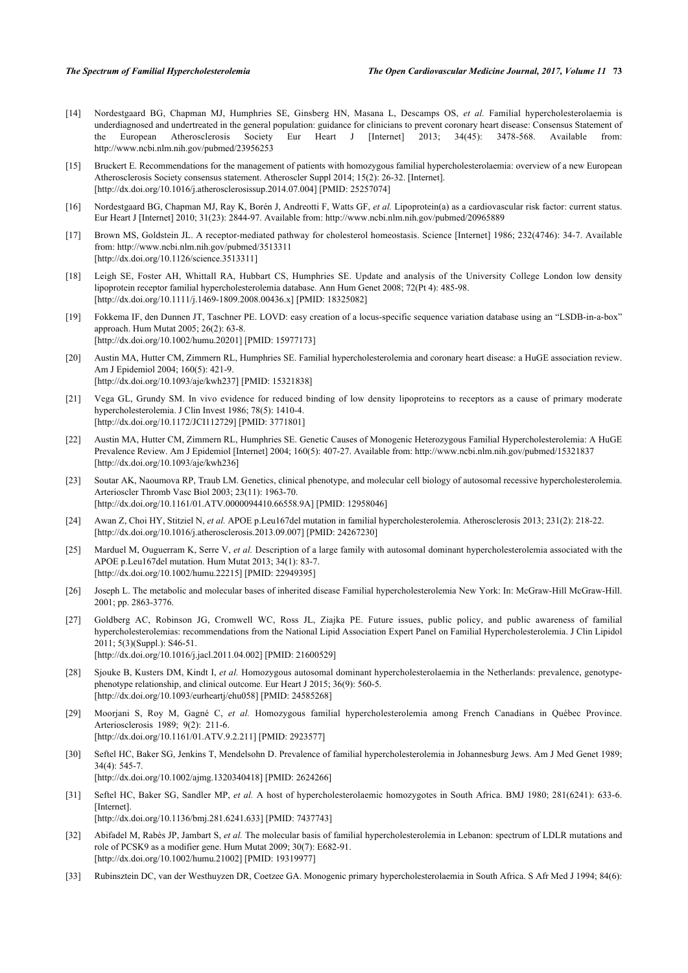- <span id="page-7-0"></span>[14] Nordestgaard BG, Chapman MJ, Humphries SE, Ginsberg HN, Masana L, Descamps OS, *et al.* Familial hypercholesterolaemia is underdiagnosed and undertreated in the general population: guidance for clinicians to prevent coronary heart disease: Consensus Statement of the European Atherosclerosis Society Eur Heart J [Internet] 2013; 34(45): 3478-568. Available from: <http://www.ncbi.nlm.nih.gov/pubmed/23956253>
- <span id="page-7-1"></span>[15] Bruckert E. Recommendations for the management of patients with homozygous familial hypercholesterolaemia: overview of a new European Atherosclerosis Society consensus statement. Atheroscler Suppl 2014; 15(2): 26-32. [Internet]. [\[http://dx.doi.org/10.1016/j.atherosclerosissup.2014.07.004\]](http://dx.doi.org/10.1016/j.atherosclerosissup.2014.07.004) [PMID: [25257074](http://www.ncbi.nlm.nih.gov/pubmed/25257074)]
- <span id="page-7-2"></span>[16] Nordestgaard BG, Chapman MJ, Ray K, Borén J, Andreotti F, Watts GF, *et al.* Lipoprotein(a) as a cardiovascular risk factor: current status. Eur Heart J [Internet] 2010; 31(23): 2844-97. Available from: <http://www.ncbi.nlm.nih.gov/pubmed/20965889>
- <span id="page-7-3"></span>[17] Brown MS, Goldstein JL. A receptor-mediated pathway for cholesterol homeostasis. Science [Internet] 1986; 232(4746): 34-7. Available from:<http://www.ncbi.nlm.nih.gov/pubmed/3513311> [\[http://dx.doi.org/10.1126/science.3513311](http://dx.doi.org/10.1126/science.3513311)]
- <span id="page-7-4"></span>[18] Leigh SE, Foster AH, Whittall RA, Hubbart CS, Humphries SE. Update and analysis of the University College London low density lipoprotein receptor familial hypercholesterolemia database. Ann Hum Genet 2008; 72(Pt 4): 485-98. [\[http://dx.doi.org/10.1111/j.1469-1809.2008.00436.x\]](http://dx.doi.org/10.1111/j.1469-1809.2008.00436.x) [PMID: [18325082](http://www.ncbi.nlm.nih.gov/pubmed/18325082)]
- <span id="page-7-5"></span>[19] Fokkema IF, den Dunnen JT, Taschner PE. LOVD: easy creation of a locus-specific sequence variation database using an "LSDB-in-a-box" approach. Hum Mutat 2005; 26(2): 63-8. [\[http://dx.doi.org/10.1002/humu.20201](http://dx.doi.org/10.1002/humu.20201)] [PMID: [15977173\]](http://www.ncbi.nlm.nih.gov/pubmed/15977173)
- <span id="page-7-6"></span>[20] Austin MA, Hutter CM, Zimmern RL, Humphries SE. Familial hypercholesterolemia and coronary heart disease: a HuGE association review. Am J Epidemiol 2004; 160(5): 421-9. [\[http://dx.doi.org/10.1093/aje/kwh237](http://dx.doi.org/10.1093/aje/kwh237)] [PMID: [15321838\]](http://www.ncbi.nlm.nih.gov/pubmed/15321838)
- <span id="page-7-7"></span>[21] Vega GL, Grundy SM. In vivo evidence for reduced binding of low density lipoproteins to receptors as a cause of primary moderate hypercholesterolemia. J Clin Invest 1986; 78(5): 1410-4. [\[http://dx.doi.org/10.1172/JCI112729\]](http://dx.doi.org/10.1172/JCI112729) [PMID: [3771801](http://www.ncbi.nlm.nih.gov/pubmed/3771801)]
- <span id="page-7-8"></span>[22] Austin MA, Hutter CM, Zimmern RL, Humphries SE. Genetic Causes of Monogenic Heterozygous Familial Hypercholesterolemia: A HuGE Prevalence Review. Am J Epidemiol [Internet] 2004; 160(5): 407-27. Available from:<http://www.ncbi.nlm.nih.gov/pubmed/15321837> [\[http://dx.doi.org/10.1093/aje/kwh236](http://dx.doi.org/10.1093/aje/kwh236)]
- <span id="page-7-9"></span>[23] Soutar AK, Naoumova RP, Traub LM. Genetics, clinical phenotype, and molecular cell biology of autosomal recessive hypercholesterolemia. Arterioscler Thromb Vasc Biol 2003; 23(11): 1963-70. [\[http://dx.doi.org/10.1161/01.ATV.0000094410.66558.9A](http://dx.doi.org/10.1161/01.ATV.0000094410.66558.9A)] [PMID: [12958046\]](http://www.ncbi.nlm.nih.gov/pubmed/12958046)
- <span id="page-7-10"></span>[24] Awan Z, Choi HY, Stitziel N, *et al.* APOE p.Leu167del mutation in familial hypercholesterolemia. Atherosclerosis 2013; 231(2): 218-22. [\[http://dx.doi.org/10.1016/j.atherosclerosis.2013.09.007\]](http://dx.doi.org/10.1016/j.atherosclerosis.2013.09.007) [PMID: [24267230](http://www.ncbi.nlm.nih.gov/pubmed/24267230)]
- <span id="page-7-11"></span>[25] Marduel M, Ouguerram K, Serre V, et al. Description of a large family with autosomal dominant hypercholesterolemia associated with the APOE p.Leu167del mutation. Hum Mutat 2013; 34(1): 83-7. [\[http://dx.doi.org/10.1002/humu.22215](http://dx.doi.org/10.1002/humu.22215)] [PMID: [22949395\]](http://www.ncbi.nlm.nih.gov/pubmed/22949395)
- <span id="page-7-12"></span>[26] Joseph L. The metabolic and molecular bases of inherited disease Familial hypercholesterolemia New York: In: McGraw-Hill McGraw-Hill. 2001; pp. 2863-3776.
- <span id="page-7-13"></span>[27] Goldberg AC, Robinson JG, Cromwell WC, Ross JL, Ziajka PE. Future issues, public policy, and public awareness of familial hypercholesterolemias: recommendations from the National Lipid Association Expert Panel on Familial Hypercholesterolemia. J Clin Lipidol 2011; 5(3)(Suppl.): S46-51. [\[http://dx.doi.org/10.1016/j.jacl.2011.04.002\]](http://dx.doi.org/10.1016/j.jacl.2011.04.002) [PMID: [21600529](http://www.ncbi.nlm.nih.gov/pubmed/21600529)]
- <span id="page-7-14"></span>[28] Sjouke B, Kusters DM, Kindt I, *et al.* Homozygous autosomal dominant hypercholesterolaemia in the Netherlands: prevalence, genotypephenotype relationship, and clinical outcome. Eur Heart J 2015; 36(9): 560-5. [\[http://dx.doi.org/10.1093/eurheartj/ehu058](http://dx.doi.org/10.1093/eurheartj/ehu058)] [PMID: [24585268\]](http://www.ncbi.nlm.nih.gov/pubmed/24585268)
- <span id="page-7-15"></span>[29] Moorjani S, Roy M, Gagné C, *et al.* Homozygous familial hypercholesterolemia among French Canadians in Québec Province. Arteriosclerosis 1989; 9(2): 211-6. [\[http://dx.doi.org/10.1161/01.ATV.9.2.211](http://dx.doi.org/10.1161/01.ATV.9.2.211)] [PMID: [2923577\]](http://www.ncbi.nlm.nih.gov/pubmed/2923577)
- <span id="page-7-16"></span>[30] Seftel HC, Baker SG, Jenkins T, Mendelsohn D. Prevalence of familial hypercholesterolemia in Johannesburg Jews. Am J Med Genet 1989; 34(4): 545-7. [\[http://dx.doi.org/10.1002/ajmg.1320340418\]](http://dx.doi.org/10.1002/ajmg.1320340418) [PMID: [2624266](http://www.ncbi.nlm.nih.gov/pubmed/2624266)]
- <span id="page-7-17"></span>[31] Seftel HC, Baker SG, Sandler MP, *et al.* A host of hypercholesterolaemic homozygotes in South Africa. BMJ 1980; 281(6241): 633-6. [Internet] [\[http://dx.doi.org/10.1136/bmj.281.6241.633](http://dx.doi.org/10.1136/bmj.281.6241.633)] [PMID: [7437743\]](http://www.ncbi.nlm.nih.gov/pubmed/7437743)
- <span id="page-7-18"></span>[32] Abifadel M, Rabès JP, Jambart S, *et al.* The molecular basis of familial hypercholesterolemia in Lebanon: spectrum of LDLR mutations and role of PCSK9 as a modifier gene. Hum Mutat 2009; 30(7): E682-91. [\[http://dx.doi.org/10.1002/humu.21002](http://dx.doi.org/10.1002/humu.21002)] [PMID: [19319977\]](http://www.ncbi.nlm.nih.gov/pubmed/19319977)
- <span id="page-7-19"></span>[33] Rubinsztein DC, van der Westhuyzen DR, Coetzee GA. Monogenic primary hypercholesterolaemia in South Africa. S Afr Med J 1994; 84(6):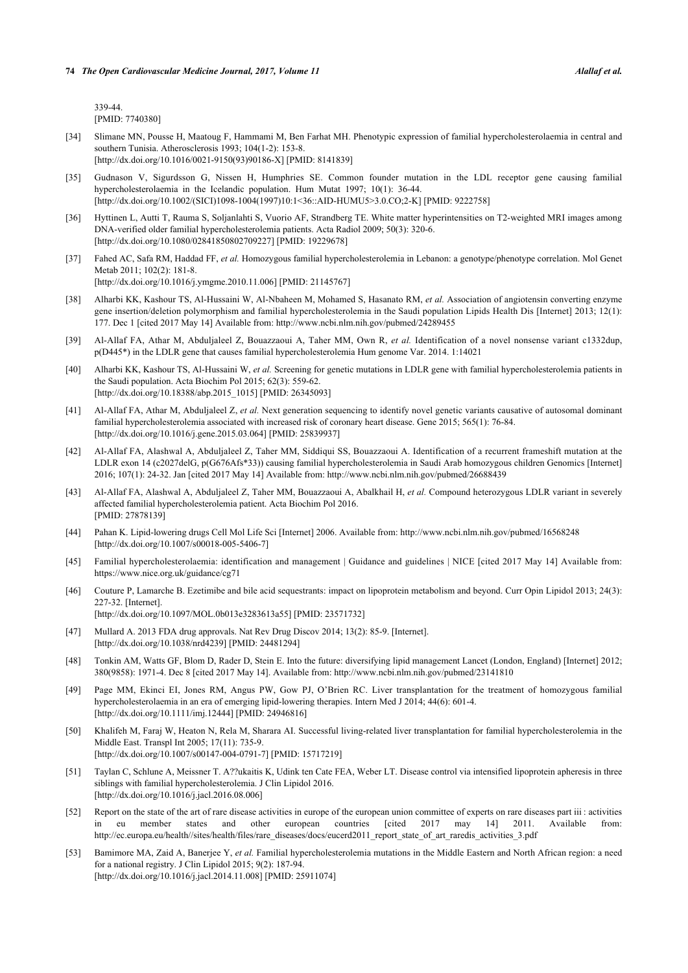339-44. [PMID: [7740380\]](http://www.ncbi.nlm.nih.gov/pubmed/7740380)

- <span id="page-8-0"></span>[34] Slimane MN, Pousse H, Maatoug F, Hammami M, Ben Farhat MH. Phenotypic expression of familial hypercholesterolaemia in central and southern Tunisia. Atherosclerosis 1993; 104(1-2): 153-8. [\[http://dx.doi.org/10.1016/0021-9150\(93\)90186-X](http://dx.doi.org/10.1016/0021-9150(93)90186-X)] [PMID: [8141839\]](http://www.ncbi.nlm.nih.gov/pubmed/8141839)
- <span id="page-8-1"></span>[35] Gudnason V, Sigurdsson G, Nissen H, Humphries SE. Common founder mutation in the LDL receptor gene causing familial hypercholesterolaemia in the Icelandic population. Hum Mutat 1997; 10(1): 36-44. [\[http://dx.doi.org/10.1002/\(SICI\)1098-1004\(1997\)10:1<36::AID-HUMU5>3.0.CO;2-K](http://dx.doi.org/10.1002/(SICI)1098-1004(1997)10:1<36::AID-HUMU5>3.0.CO;2-K)] [PMID: [9222758\]](http://www.ncbi.nlm.nih.gov/pubmed/9222758)
- <span id="page-8-2"></span>[36] Hyttinen L, Autti T, Rauma S, Soljanlahti S, Vuorio AF, Strandberg TE. White matter hyperintensities on T2-weighted MRI images among DNA-verified older familial hypercholesterolemia patients. Acta Radiol 2009; 50(3): 320-6. [\[http://dx.doi.org/10.1080/02841850802709227\]](http://dx.doi.org/10.1080/02841850802709227) [PMID: [19229678](http://www.ncbi.nlm.nih.gov/pubmed/19229678)]
- <span id="page-8-3"></span>[37] Fahed AC, Safa RM, Haddad FF, *et al.* Homozygous familial hypercholesterolemia in Lebanon: a genotype/phenotype correlation. Mol Genet Metab 2011; 102(2): 181-8. [\[http://dx.doi.org/10.1016/j.ymgme.2010.11.006](http://dx.doi.org/10.1016/j.ymgme.2010.11.006)] [PMID: [21145767\]](http://www.ncbi.nlm.nih.gov/pubmed/21145767)
- [38] Alharbi KK, Kashour TS, Al-Hussaini W, Al-Nbaheen M, Mohamed S, Hasanato RM, *et al.* Association of angiotensin converting enzyme gene insertion/deletion polymorphism and familial hypercholesterolemia in the Saudi population Lipids Health Dis [Internet] 2013; 12(1): 177. Dec 1 [cited 2017 May 14] Available from: <http://www.ncbi.nlm.nih.gov/pubmed/24289455>
- [39] Al-Allaf FA, Athar M, Abduljaleel Z, Bouazzaoui A, Taher MM, Own R, *et al.* Identification of a novel nonsense variant c1332dup, p(D445\*) in the LDLR gene that causes familial hypercholesterolemia Hum genome Var. 2014. 1:14021
- [40] Alharbi KK, Kashour TS, Al-Hussaini W, *et al.* Screening for genetic mutations in LDLR gene with familial hypercholesterolemia patients in the Saudi population. Acta Biochim Pol 2015; 62(3): 559-62. [\[http://dx.doi.org/10.18388/abp.2015\\_1015](http://dx.doi.org/10.18388/abp.2015_1015)] [PMID: [26345093\]](http://www.ncbi.nlm.nih.gov/pubmed/26345093)
- [41] Al-Allaf FA, Athar M, Abduljaleel Z, *et al.* Next generation sequencing to identify novel genetic variants causative of autosomal dominant familial hypercholesterolemia associated with increased risk of coronary heart disease. Gene 2015; 565(1): 76-84. [\[http://dx.doi.org/10.1016/j.gene.2015.03.064](http://dx.doi.org/10.1016/j.gene.2015.03.064)] [PMID: [25839937\]](http://www.ncbi.nlm.nih.gov/pubmed/25839937)
- <span id="page-8-4"></span>[42] Al-Allaf FA, Alashwal A, Abduljaleel Z, Taher MM, Siddiqui SS, Bouazzaoui A. Identification of a recurrent frameshift mutation at the LDLR exon 14 (c2027delG, p(G676Afs\*33)) causing familial hypercholesterolemia in Saudi Arab homozygous children Genomics [Internet] 2016; 107(1): 24-32. Jan [cited 2017 May 14] Available from:<http://www.ncbi.nlm.nih.gov/pubmed/26688439>
- [43] Al-Allaf FA, Alashwal A, Abduljaleel Z, Taher MM, Bouazzaoui A, Abalkhail H, *et al.* Compound heterozygous LDLR variant in severely affected familial hypercholesterolemia patient. Acta Biochim Pol 2016. [PMID: [27878139\]](http://www.ncbi.nlm.nih.gov/pubmed/27878139)
- <span id="page-8-5"></span>[44] Pahan K. Lipid-lowering drugs Cell Mol Life Sci [Internet] 2006. Available from: <http://www.ncbi.nlm.nih.gov/pubmed/16568248> [\[http://dx.doi.org/10.1007/s00018-005-5406-7\]](http://dx.doi.org/10.1007/s00018-005-5406-7)
- <span id="page-8-6"></span>[45] Familial hypercholesterolaemia: identification and management | Guidance and guidelines | NICE [cited 2017 May 14] Available from: <https://www.nice.org.uk/guidance/cg71>
- <span id="page-8-7"></span>[46] Couture P, Lamarche B. Ezetimibe and bile acid sequestrants: impact on lipoprotein metabolism and beyond. Curr Opin Lipidol 2013; 24(3): 227-32. [Internet]. [\[http://dx.doi.org/10.1097/MOL.0b013e3283613a55\]](http://dx.doi.org/10.1097/MOL.0b013e3283613a55) [PMID: [23571732](http://www.ncbi.nlm.nih.gov/pubmed/23571732)]
	-
- <span id="page-8-8"></span>[47] Mullard A. 2013 FDA drug approvals. Nat Rev Drug Discov 2014; 13(2): 85-9. [Internet]. [\[http://dx.doi.org/10.1038/nrd4239](http://dx.doi.org/10.1038/nrd4239)] [PMID: [24481294](http://www.ncbi.nlm.nih.gov/pubmed/24481294)]
- <span id="page-8-9"></span>[48] Tonkin AM, Watts GF, Blom D, Rader D, Stein E. Into the future: diversifying lipid management Lancet (London, England) [Internet] 2012; 380(9858): 1971-4. Dec 8 [cited 2017 May 14]. Available from:<http://www.ncbi.nlm.nih.gov/pubmed/23141810>
- <span id="page-8-10"></span>[49] Page MM, Ekinci EI, Jones RM, Angus PW, Gow PJ, O'Brien RC. Liver transplantation for the treatment of homozygous familial hypercholesterolaemia in an era of emerging lipid-lowering therapies. Intern Med J 2014; 44(6): 601-4. [\[http://dx.doi.org/10.1111/imj.12444](http://dx.doi.org/10.1111/imj.12444)] [PMID: [24946816](http://www.ncbi.nlm.nih.gov/pubmed/24946816)]
- <span id="page-8-11"></span>[50] Khalifeh M, Faraj W, Heaton N, Rela M, Sharara AI. Successful living-related liver transplantation for familial hypercholesterolemia in the Middle East. Transpl Int 2005; 17(11): 735-9. [\[http://dx.doi.org/10.1007/s00147-004-0791-7\]](http://dx.doi.org/10.1007/s00147-004-0791-7) [PMID: [15717219](http://www.ncbi.nlm.nih.gov/pubmed/15717219)]
- <span id="page-8-12"></span>[51] Taylan C, Schlune A, Meissner T. A??ukaitis K, Udink ten Cate FEA, Weber LT. Disease control via intensified lipoprotein apheresis in three siblings with familial hypercholesterolemia. J Clin Lipidol 2016. [\[http://dx.doi.org/10.1016/j.jacl.2016.08.006\]](http://dx.doi.org/10.1016/j.jacl.2016.08.006)
- <span id="page-8-13"></span>[52] Report on the state of the art of rare disease activities in europe of the european union committee of experts on rare diseases part iii : activities in eu member states and other european countries [cited 2017 may 14] 2011. Available from: [http://ec.europa.eu/health//sites/health/files/rare\\_diseases/docs/eucerd2011\\_report\\_state\\_of\\_art\\_raredis\\_activities\\_3.pdf](http://ec.europa.eu/health//sites/health/files/rare_diseases/docs/eucerd2011_report_state_of_art_raredis_activities_3.pdf)
- <span id="page-8-14"></span>[53] Bamimore MA, Zaid A, Banerjee Y, et al. Familial hypercholesterolemia mutations in the Middle Eastern and North African region: a need for a national registry. J Clin Lipidol 2015; 9(2): 187-94. [\[http://dx.doi.org/10.1016/j.jacl.2014.11.008\]](http://dx.doi.org/10.1016/j.jacl.2014.11.008) [PMID: [25911074](http://www.ncbi.nlm.nih.gov/pubmed/25911074)]